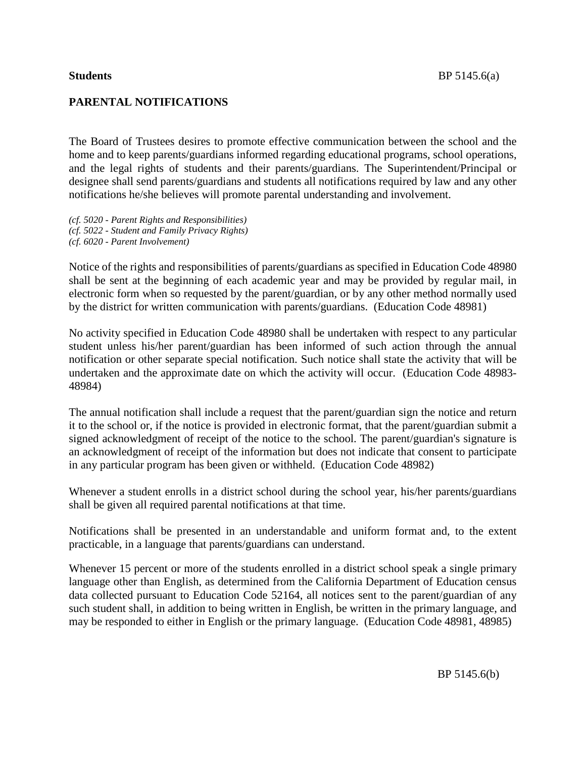## **PARENTAL NOTIFICATIONS**

The Board of Trustees desires to promote effective communication between the school and the home and to keep parents/guardians informed regarding educational programs, school operations, and the legal rights of students and their parents/guardians. The Superintendent/Principal or designee shall send parents/guardians and students all notifications required by law and any other notifications he/she believes will promote parental understanding and involvement.

*(cf. 5020 - Parent Rights and Responsibilities) (cf. 5022 - Student and Family Privacy Rights) (cf. 6020 - Parent Involvement)*

Notice of the rights and responsibilities of parents/guardians as specified in Education Code 48980 shall be sent at the beginning of each academic year and may be provided by regular mail, in electronic form when so requested by the parent/guardian, or by any other method normally used by the district for written communication with parents/guardians. (Education Code 48981)

No activity specified in Education Code 48980 shall be undertaken with respect to any particular student unless his/her parent/guardian has been informed of such action through the annual notification or other separate special notification. Such notice shall state the activity that will be undertaken and the approximate date on which the activity will occur. (Education Code 48983- 48984)

The annual notification shall include a request that the parent/guardian sign the notice and return it to the school or, if the notice is provided in electronic format, that the parent/guardian submit a signed acknowledgment of receipt of the notice to the school. The parent/guardian's signature is an acknowledgment of receipt of the information but does not indicate that consent to participate in any particular program has been given or withheld. (Education Code 48982)

Whenever a student enrolls in a district school during the school year, his/her parents/guardians shall be given all required parental notifications at that time.

Notifications shall be presented in an understandable and uniform format and, to the extent practicable, in a language that parents/guardians can understand.

Whenever 15 percent or more of the students enrolled in a district school speak a single primary language other than English, as determined from the California Department of Education census data collected pursuant to Education Code 52164, all notices sent to the parent/guardian of any such student shall, in addition to being written in English, be written in the primary language, and may be responded to either in English or the primary language. (Education Code 48981, 48985)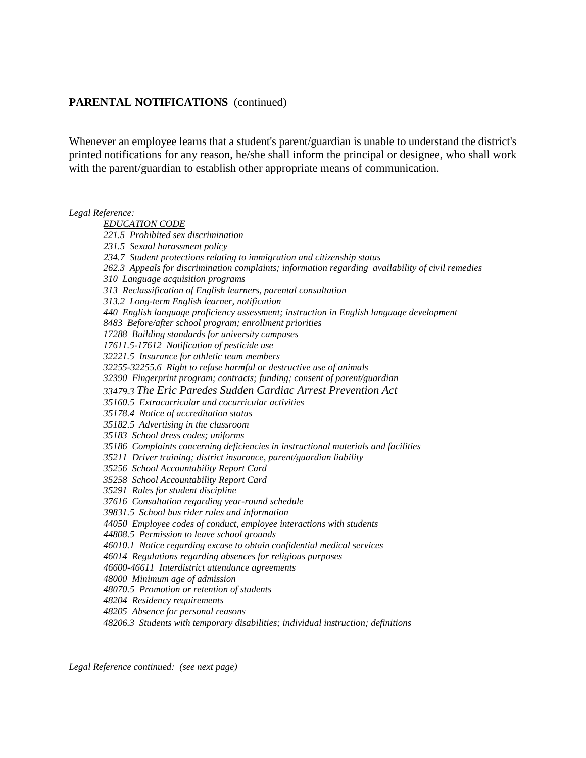Whenever an employee learns that a student's parent/guardian is unable to understand the district's printed notifications for any reason, he/she shall inform the principal or designee, who shall work with the parent/guardian to establish other appropriate means of communication.

#### *Legal Reference:*

*EDUCATION CODE 221.5 Prohibited sex discrimination 231.5 Sexual harassment policy 234.7 Student protections relating to immigration and citizenship status 262.3 Appeals for discrimination complaints; information regarding availability of civil remedies 310 Language acquisition programs 313 Reclassification of English learners, parental consultation 313.2 Long-term English learner, notification 440 English language proficiency assessment; instruction in English language development 8483 Before/after school program; enrollment priorities 17288 Building standards for university campuses 17611.5-17612 Notification of pesticide use 32221.5 Insurance for athletic team members 32255-32255.6 Right to refuse harmful or destructive use of animals 32390 Fingerprint program; contracts; funding; consent of parent/guardian 33479.3 The Eric Paredes Sudden Cardiac Arrest Prevention Act 35160.5 Extracurricular and cocurricular activities 35178.4 Notice of accreditation status 35182.5 Advertising in the classroom 35183 School dress codes; uniforms 35186 Complaints concerning deficiencies in instructional materials and facilities 35211 Driver training; district insurance, parent/guardian liability 35256 School Accountability Report Card 35258 School Accountability Report Card 35291 Rules for student discipline 37616 Consultation regarding year-round schedule 39831.5 School bus rider rules and information 44050 Employee codes of conduct, employee interactions with students 44808.5 Permission to leave school grounds 46010.1 Notice regarding excuse to obtain confidential medical services 46014 Regulations regarding absences for religious purposes 46600-46611 Interdistrict attendance agreements 48000 Minimum age of admission 48070.5 Promotion or retention of students 48204 Residency requirements 48205 Absence for personal reasons 48206.3 Students with temporary disabilities; individual instruction; definitions*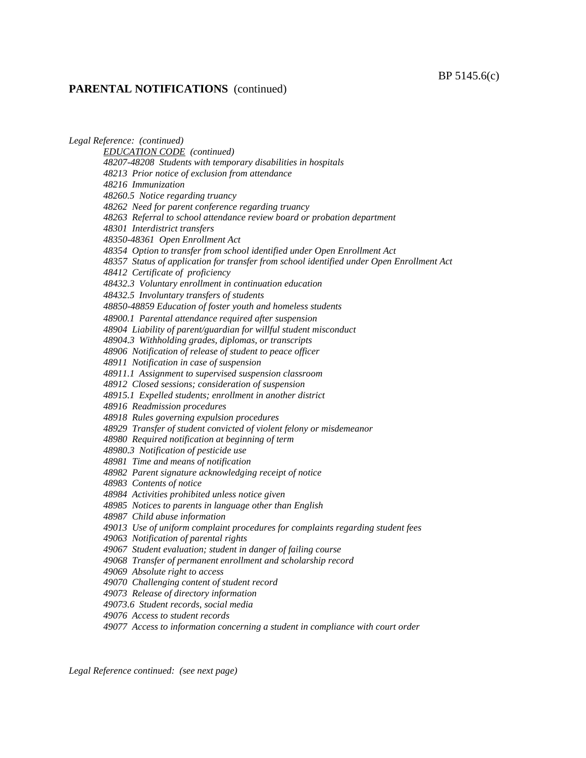#### BP 5145.6(c)

#### **PARENTAL NOTIFICATIONS** (continued)

*Legal Reference: (continued) EDUCATION CODE (continued) 48207-48208 Students with temporary disabilities in hospitals 48213 Prior notice of exclusion from attendance 48216 Immunization 48260.5 Notice regarding truancy 48262 Need for parent conference regarding truancy 48263 Referral to school attendance review board or probation department 48301 Interdistrict transfers 48350-48361 Open Enrollment Act 48354 Option to transfer from school identified under Open Enrollment Act 48357 Status of application for transfer from school identified under Open Enrollment Act 48412 Certificate of proficiency 48432.3 Voluntary enrollment in continuation education 48432.5 Involuntary transfers of students 48850-48859 Education of foster youth and homeless students 48900.1 Parental attendance required after suspension 48904 Liability of parent/guardian for willful student misconduct 48904.3 Withholding grades, diplomas, or transcripts 48906 Notification of release of student to peace officer 48911 Notification in case of suspension 48911.1 Assignment to supervised suspension classroom 48912 Closed sessions; consideration of suspension 48915.1 Expelled students; enrollment in another district 48916 Readmission procedures 48918 Rules governing expulsion procedures 48929 Transfer of student convicted of violent felony or misdemeanor 48980 Required notification at beginning of term 48980.3 Notification of pesticide use 48981 Time and means of notification 48982 Parent signature acknowledging receipt of notice 48983 Contents of notice 48984 Activities prohibited unless notice given 48985 Notices to parents in language other than English 48987 Child abuse information 49013 Use of uniform complaint procedures for complaints regarding student fees 49063 Notification of parental rights 49067 Student evaluation; student in danger of failing course 49068 Transfer of permanent enrollment and scholarship record 49069 Absolute right to access 49070 Challenging content of student record 49073 Release of directory information 49073.6 Student records, social media 49076 Access to student records 49077 Access to information concerning a student in compliance with court order*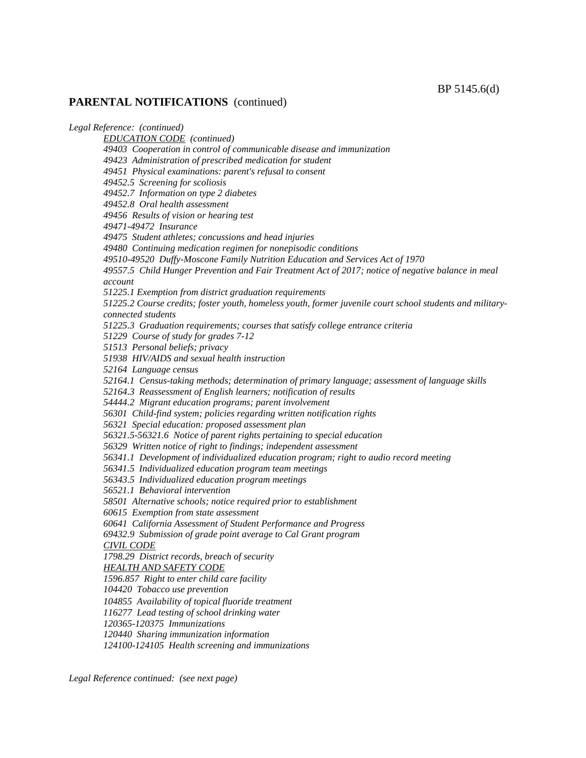*Legal Reference: (continued) EDUCATION CODE (continued) 49403 Cooperation in control of communicable disease and immunization 49423 Administration of prescribed medication for student 49451 Physical examinations: parent's refusal to consent 49452.5 Screening for scoliosis 49452.7 Information on type 2 diabetes 49452.8 Oral health assessment 49456 Results of vision or hearing test 49471-49472 Insurance 49475 Student athletes; concussions and head injuries 49480 Continuing medication regimen for nonepisodic conditions 49510-49520 Duffy-Moscone Family Nutrition Education and Services Act of 1970 49557.5 Child Hunger Prevention and Fair Treatment Act of 2017; notice of negative balance in meal account 51225.1 Exemption from district graduation requirements 51225.2 Course credits; foster youth, homeless youth, former juvenile court school students and militaryconnected students 51225.3 Graduation requirements; courses that satisfy college entrance criteria 51229 Course of study for grades 7-12 51513 Personal beliefs; privacy 51938 HIV/AIDS and sexual health instruction 52164 Language census 52164.1 Census-taking methods; determination of primary language; assessment of language skills 52164.3 Reassessment of English learners; notification of results 54444.2 Migrant education programs; parent involvement 56301 Child-find system; policies regarding written notification rights 56321 Special education: proposed assessment plan 56321.5-56321.6 Notice of parent rights pertaining to special education 56329 Written notice of right to findings; independent assessment 56341.1 Development of individualized education program; right to audio record meeting 56341.5 Individualized education program team meetings 56343.5 Individualized education program meetings 56521.1 Behavioral intervention 58501 Alternative schools; notice required prior to establishment 60615 Exemption from state assessment 60641 California Assessment of Student Performance and Progress 69432.9 Submission of grade point average to Cal Grant program CIVIL CODE 1798.29 District records, breach of security HEALTH AND SAFETY CODE 1596.857 Right to enter child care facility 104420 Tobacco use prevention 104855 Availability of topical fluoride treatment 116277 Lead testing of school drinking water 120365-120375 Immunizations 120440 Sharing immunization information 124100-124105 Health screening and immunizations*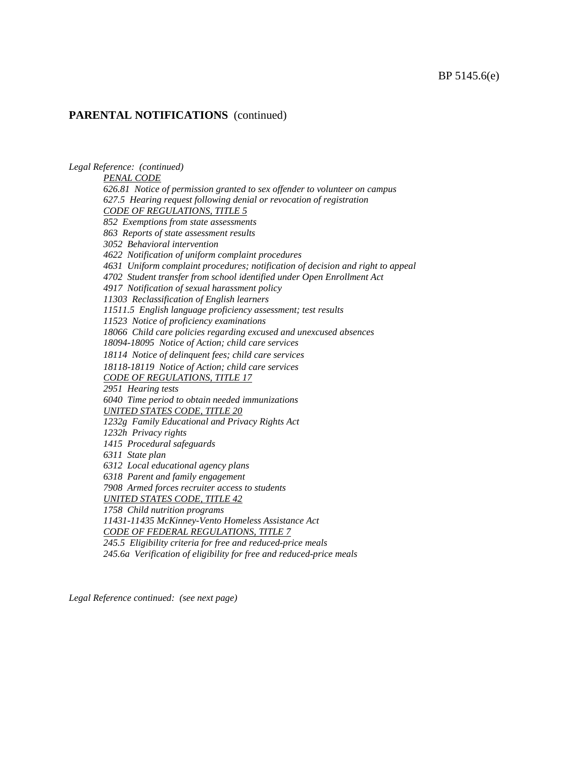*Legal Reference: (continued) PENAL CODE 626.81 Notice of permission granted to sex offender to volunteer on campus 627.5 Hearing request following denial or revocation of registration CODE OF REGULATIONS, TITLE 5 852 Exemptions from state assessments 863 Reports of state assessment results 3052 Behavioral intervention 4622 Notification of uniform complaint procedures 4631 Uniform complaint procedures; notification of decision and right to appeal 4702 Student transfer from school identified under Open Enrollment Act 4917 Notification of sexual harassment policy 11303 Reclassification of English learners 11511.5 English language proficiency assessment; test results 11523 Notice of proficiency examinations 18066 Child care policies regarding excused and unexcused absences 18094-18095 Notice of Action; child care services 18114 Notice of delinquent fees; child care services 18118-18119 Notice of Action; child care services CODE OF REGULATIONS, TITLE 17 2951 Hearing tests 6040 Time period to obtain needed immunizations UNITED STATES CODE, TITLE 20 1232g Family Educational and Privacy Rights Act 1232h Privacy rights 1415 Procedural safeguards 6311 State plan 6312 Local educational agency plans 6318 Parent and family engagement 7908 Armed forces recruiter access to students UNITED STATES CODE, TITLE 42 1758 Child nutrition programs 11431-11435 McKinney-Vento Homeless Assistance Act CODE OF FEDERAL REGULATIONS, TITLE 7 245.5 Eligibility criteria for free and reduced-price meals 245.6a Verification of eligibility for free and reduced-price meals*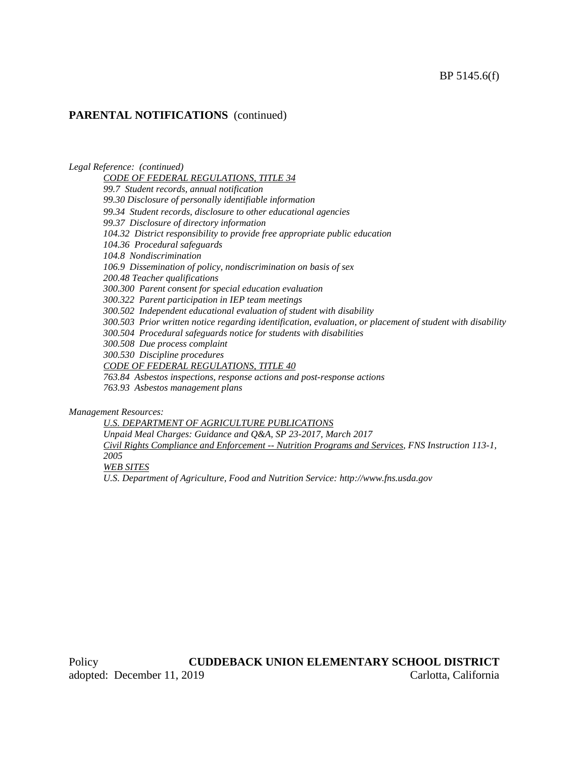*Legal Reference: (continued) CODE OF FEDERAL REGULATIONS, TITLE 34 99.7 Student records, annual notification 99.30 Disclosure of personally identifiable information 99.34 Student records, disclosure to other educational agencies 99.37 Disclosure of directory information 104.32 District responsibility to provide free appropriate public education 104.36 Procedural safeguards 104.8 Nondiscrimination 106.9 Dissemination of policy, nondiscrimination on basis of sex 200.48 Teacher qualifications 300.300 Parent consent for special education evaluation 300.322 Parent participation in IEP team meetings 300.502 Independent educational evaluation of student with disability 300.503 Prior written notice regarding identification, evaluation, or placement of student with disability 300.504 Procedural safeguards notice for students with disabilities 300.508 Due process complaint 300.530 Discipline procedures CODE OF FEDERAL REGULATIONS, TITLE 40 763.84 Asbestos inspections, response actions and post-response actions 763.93 Asbestos management plans*

*Management Resources:*

*U.S. DEPARTMENT OF AGRICULTURE PUBLICATIONS Unpaid Meal Charges: Guidance and Q&A, SP 23-2017, March 2017 Civil Rights Compliance and Enforcement -- Nutrition Programs and Services, FNS Instruction 113-1, 2005 WEB SITES U.S. Department of Agriculture, Food and Nutrition Service: http://www.fns.usda.gov*

Policy **CUDDEBACK UNION ELEMENTARY SCHOOL DISTRICT** adopted: December 11, 2019 Carlotta, California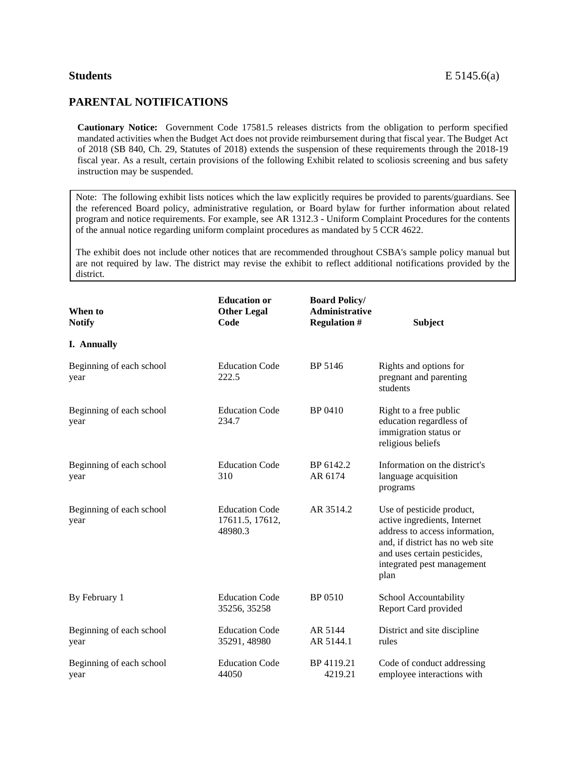## **PARENTAL NOTIFICATIONS**

**Cautionary Notice:** Government Code 17581.5 releases districts from the obligation to perform specified mandated activities when the Budget Act does not provide reimbursement during that fiscal year. The Budget Act of 2018 (SB 840, Ch. 29, Statutes of 2018) extends the suspension of these requirements through the 2018-19 fiscal year. As a result, certain provisions of the following Exhibit related to scoliosis screening and bus safety instruction may be suspended.

Note: The following exhibit lists notices which the law explicitly requires be provided to parents/guardians. See the referenced Board policy, administrative regulation, or Board bylaw for further information about related program and notice requirements. For example, see AR 1312.3 - Uniform Complaint Procedures for the contents of the annual notice regarding uniform complaint procedures as mandated by 5 CCR 4622.

The exhibit does not include other notices that are recommended throughout CSBA's sample policy manual but are not required by law. The district may revise the exhibit to reflect additional notifications provided by the district.

| When to<br><b>Notify</b>         | <b>Education or</b><br><b>Other Legal</b><br>Code   | <b>Board Policy/</b><br><b>Administrative</b><br><b>Regulation #</b> | <b>Subject</b>                                                                                                                                                                                        |
|----------------------------------|-----------------------------------------------------|----------------------------------------------------------------------|-------------------------------------------------------------------------------------------------------------------------------------------------------------------------------------------------------|
| <b>I.</b> Annually               |                                                     |                                                                      |                                                                                                                                                                                                       |
| Beginning of each school<br>year | <b>Education Code</b><br>222.5                      | BP 5146                                                              | Rights and options for<br>pregnant and parenting<br>students                                                                                                                                          |
| Beginning of each school<br>year | <b>Education Code</b><br>234.7                      | BP 0410                                                              | Right to a free public<br>education regardless of<br>immigration status or<br>religious beliefs                                                                                                       |
| Beginning of each school<br>year | <b>Education Code</b><br>310                        | BP 6142.2<br>AR 6174                                                 | Information on the district's<br>language acquisition<br>programs                                                                                                                                     |
| Beginning of each school<br>year | <b>Education Code</b><br>17611.5, 17612,<br>48980.3 | AR 3514.2                                                            | Use of pesticide product,<br>active ingredients, Internet<br>address to access information,<br>and, if district has no web site<br>and uses certain pesticides,<br>integrated pest management<br>plan |
| By February 1                    | <b>Education Code</b><br>35256, 35258               | BP 0510                                                              | School Accountability<br>Report Card provided                                                                                                                                                         |
| Beginning of each school<br>year | <b>Education Code</b><br>35291, 48980               | AR 5144<br>AR 5144.1                                                 | District and site discipline<br>rules                                                                                                                                                                 |
| Beginning of each school<br>year | <b>Education Code</b><br>44050                      | BP 4119.21<br>4219.21                                                | Code of conduct addressing<br>employee interactions with                                                                                                                                              |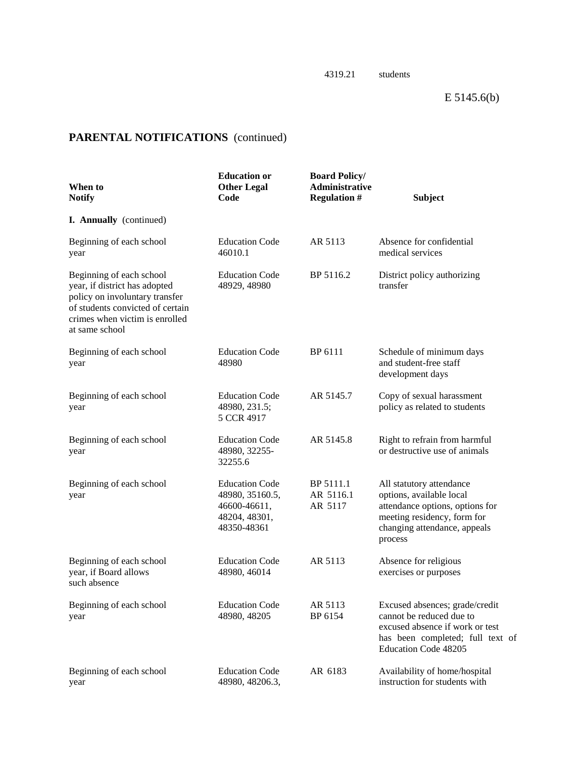| When to<br><b>Notify</b>                                                                                                                                                            | <b>Education</b> or<br><b>Other Legal</b><br>Code                                        | <b>Board Policy/</b><br>Administrative<br><b>Regulation #</b> | <b>Subject</b>                                                                                                                                                    |
|-------------------------------------------------------------------------------------------------------------------------------------------------------------------------------------|------------------------------------------------------------------------------------------|---------------------------------------------------------------|-------------------------------------------------------------------------------------------------------------------------------------------------------------------|
| I. Annually (continued)                                                                                                                                                             |                                                                                          |                                                               |                                                                                                                                                                   |
| Beginning of each school<br>year                                                                                                                                                    | <b>Education Code</b><br>46010.1                                                         | AR 5113                                                       | Absence for confidential<br>medical services                                                                                                                      |
| Beginning of each school<br>year, if district has adopted<br>policy on involuntary transfer<br>of students convicted of certain<br>crimes when victim is enrolled<br>at same school | <b>Education Code</b><br>48929, 48980                                                    | BP 5116.2                                                     | District policy authorizing<br>transfer                                                                                                                           |
| Beginning of each school<br>year                                                                                                                                                    | <b>Education Code</b><br>48980                                                           | BP 6111                                                       | Schedule of minimum days<br>and student-free staff<br>development days                                                                                            |
| Beginning of each school<br>year                                                                                                                                                    | <b>Education Code</b><br>48980, 231.5;<br>5 CCR 4917                                     | AR 5145.7                                                     | Copy of sexual harassment<br>policy as related to students                                                                                                        |
| Beginning of each school<br>year                                                                                                                                                    | <b>Education Code</b><br>48980, 32255-<br>32255.6                                        | AR 5145.8                                                     | Right to refrain from harmful<br>or destructive use of animals                                                                                                    |
| Beginning of each school<br>year                                                                                                                                                    | <b>Education Code</b><br>48980, 35160.5,<br>46600-46611,<br>48204, 48301,<br>48350-48361 | BP 5111.1<br>AR 5116.1<br>AR 5117                             | All statutory attendance<br>options, available local<br>attendance options, options for<br>meeting residency, form for<br>changing attendance, appeals<br>process |
| Beginning of each school<br>year, if Board allows<br>such absence                                                                                                                   | <b>Education Code</b><br>48980, 46014                                                    | AR 5113                                                       | Absence for religious<br>exercises or purposes                                                                                                                    |
| Beginning of each school<br>year                                                                                                                                                    | <b>Education Code</b><br>48980, 48205                                                    | AR 5113<br>BP 6154                                            | Excused absences; grade/credit<br>cannot be reduced due to<br>excused absence if work or test<br>has been completed; full text of<br>Education Code 48205         |
| Beginning of each school<br>year                                                                                                                                                    | <b>Education Code</b><br>48980, 48206.3,                                                 | AR 6183                                                       | Availability of home/hospital<br>instruction for students with                                                                                                    |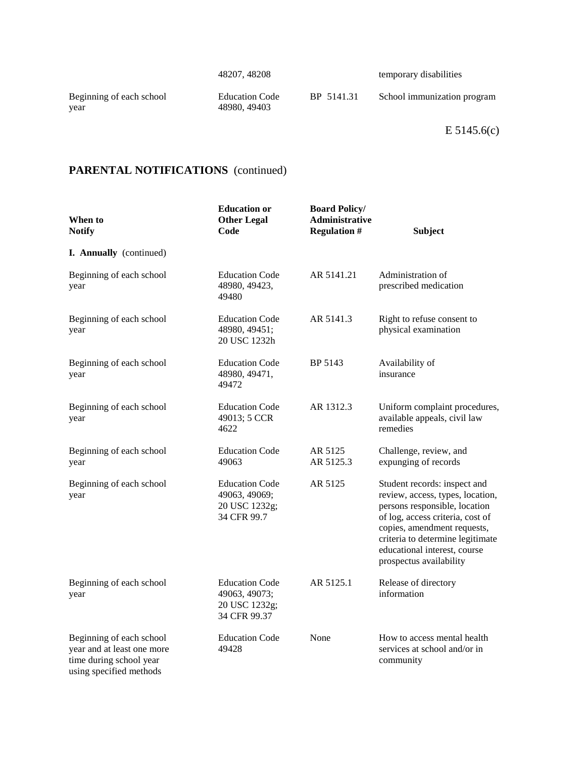| 48207, 48208 |  |  |
|--------------|--|--|
|--------------|--|--|

temporary disabilities

Beginning of each school Education Code BP 5141.31 School immunization program<br>year 48980, 49403

48980, 49403

E 5145.6(c)

| When to<br><b>Notify</b>                                                                                     | <b>Education or</b><br><b>Other Legal</b><br>Code                       | <b>Board Policy/</b><br>Administrative<br><b>Regulation #</b> | <b>Subject</b>                                                                                                                                                                                                                                                      |
|--------------------------------------------------------------------------------------------------------------|-------------------------------------------------------------------------|---------------------------------------------------------------|---------------------------------------------------------------------------------------------------------------------------------------------------------------------------------------------------------------------------------------------------------------------|
| I. Annually (continued)                                                                                      |                                                                         |                                                               |                                                                                                                                                                                                                                                                     |
| Beginning of each school<br>year                                                                             | <b>Education Code</b><br>48980, 49423,<br>49480                         | AR 5141.21                                                    | Administration of<br>prescribed medication                                                                                                                                                                                                                          |
| Beginning of each school<br>year                                                                             | <b>Education Code</b><br>48980, 49451;<br>20 USC 1232h                  | AR 5141.3                                                     | Right to refuse consent to<br>physical examination                                                                                                                                                                                                                  |
| Beginning of each school<br>year                                                                             | <b>Education Code</b><br>48980, 49471,<br>49472                         | BP 5143                                                       | Availability of<br>insurance                                                                                                                                                                                                                                        |
| Beginning of each school<br>year                                                                             | <b>Education Code</b><br>49013; 5 CCR<br>4622                           | AR 1312.3                                                     | Uniform complaint procedures,<br>available appeals, civil law<br>remedies                                                                                                                                                                                           |
| Beginning of each school<br>year                                                                             | <b>Education Code</b><br>49063                                          | AR 5125<br>AR 5125.3                                          | Challenge, review, and<br>expunging of records                                                                                                                                                                                                                      |
| Beginning of each school<br>year                                                                             | <b>Education Code</b><br>49063, 49069;<br>20 USC 1232g;<br>34 CFR 99.7  | AR 5125                                                       | Student records: inspect and<br>review, access, types, location,<br>persons responsible, location<br>of log, access criteria, cost of<br>copies, amendment requests,<br>criteria to determine legitimate<br>educational interest, course<br>prospectus availability |
| Beginning of each school<br>year                                                                             | <b>Education Code</b><br>49063, 49073;<br>20 USC 1232g;<br>34 CFR 99.37 | AR 5125.1                                                     | Release of directory<br>information                                                                                                                                                                                                                                 |
| Beginning of each school<br>year and at least one more<br>time during school year<br>using specified methods | <b>Education Code</b><br>49428                                          | None                                                          | How to access mental health<br>services at school and/or in<br>community                                                                                                                                                                                            |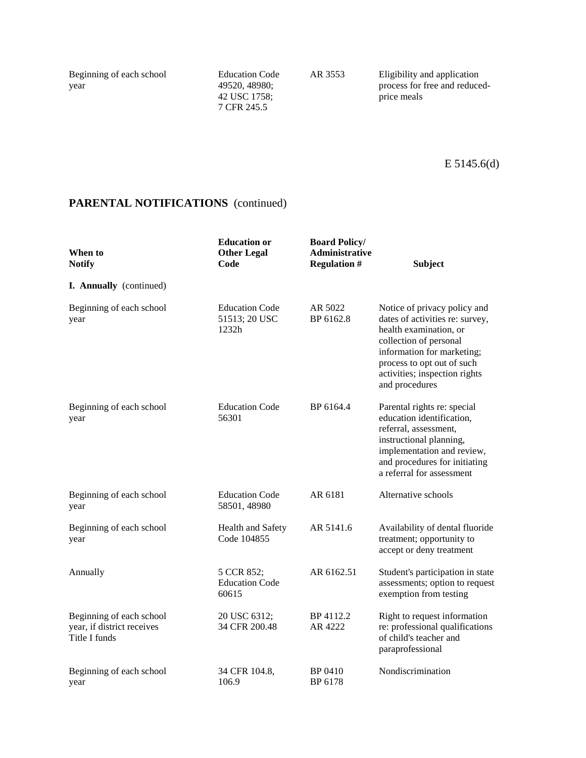42 USC 1758; 7 CFR 245.5

Beginning of each school Education Code AR 3553 Eligibility and application year 49520, 48980; 49520, 48980;<br>42 USC 1758;<br>price meals

| When to<br><b>Notify</b>                                                | <b>Education or</b><br><b>Other Legal</b><br>Code | <b>Board Policy/</b><br>Administrative<br><b>Regulation #</b> | <b>Subject</b>                                                                                                                                                                                                                     |
|-------------------------------------------------------------------------|---------------------------------------------------|---------------------------------------------------------------|------------------------------------------------------------------------------------------------------------------------------------------------------------------------------------------------------------------------------------|
| I. Annually (continued)                                                 |                                                   |                                                               |                                                                                                                                                                                                                                    |
| Beginning of each school<br>year                                        | <b>Education Code</b><br>51513; 20 USC<br>1232h   | AR 5022<br>BP 6162.8                                          | Notice of privacy policy and<br>dates of activities re: survey,<br>health examination, or<br>collection of personal<br>information for marketing;<br>process to opt out of such<br>activities; inspection rights<br>and procedures |
| Beginning of each school<br>year                                        | <b>Education Code</b><br>56301                    | BP 6164.4                                                     | Parental rights re: special<br>education identification,<br>referral, assessment,<br>instructional planning,<br>implementation and review,<br>and procedures for initiating<br>a referral for assessment                           |
| Beginning of each school<br>year                                        | <b>Education Code</b><br>58501, 48980             | AR 6181                                                       | Alternative schools                                                                                                                                                                                                                |
| Beginning of each school<br>year                                        | Health and Safety<br>Code 104855                  | AR 5141.6                                                     | Availability of dental fluoride<br>treatment; opportunity to<br>accept or deny treatment                                                                                                                                           |
| Annually                                                                | 5 CCR 852;<br><b>Education Code</b><br>60615      | AR 6162.51                                                    | Student's participation in state<br>assessments; option to request<br>exemption from testing                                                                                                                                       |
| Beginning of each school<br>year, if district receives<br>Title I funds | 20 USC 6312;<br>34 CFR 200.48                     | BP 4112.2<br>AR 4222                                          | Right to request information<br>re: professional qualifications<br>of child's teacher and<br>paraprofessional                                                                                                                      |
| Beginning of each school<br>year                                        | 34 CFR 104.8,<br>106.9                            | BP 0410<br>BP 6178                                            | Nondiscrimination                                                                                                                                                                                                                  |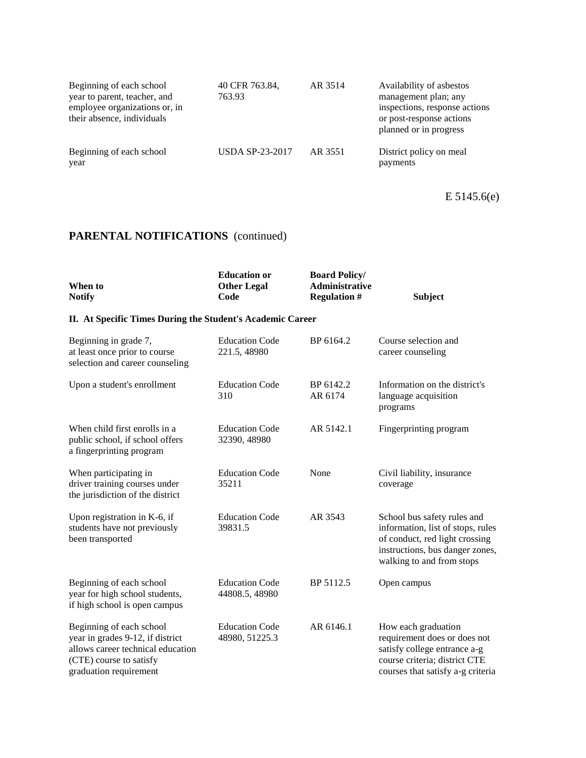| Beginning of each school<br>year to parent, teacher, and<br>employee organizations or, in<br>their absence, individuals | 40 CFR 763.84,<br>763.93 | AR 3514 | Availability of asbestos<br>management plan; any<br>inspections, response actions<br>or post-response actions<br>planned or in progress |
|-------------------------------------------------------------------------------------------------------------------------|--------------------------|---------|-----------------------------------------------------------------------------------------------------------------------------------------|
| Beginning of each school<br>year                                                                                        | <b>USDA SP-23-2017</b>   | AR 3551 | District policy on meal<br>payments                                                                                                     |

E 5145.6(e)

| When to<br><b>Notify</b>                                                                                                                               | <b>Education or</b><br><b>Other Legal</b><br>Code | <b>Board Policy/</b><br><b>Administrative</b><br><b>Regulation #</b> | <b>Subject</b>                                                                                                                                                     |  |  |
|--------------------------------------------------------------------------------------------------------------------------------------------------------|---------------------------------------------------|----------------------------------------------------------------------|--------------------------------------------------------------------------------------------------------------------------------------------------------------------|--|--|
| II. At Specific Times During the Student's Academic Career                                                                                             |                                                   |                                                                      |                                                                                                                                                                    |  |  |
| Beginning in grade 7,<br>at least once prior to course<br>selection and career counseling                                                              | <b>Education Code</b><br>221.5, 48980             | BP 6164.2                                                            | Course selection and<br>career counseling                                                                                                                          |  |  |
| Upon a student's enrollment                                                                                                                            | <b>Education Code</b><br>310                      | BP 6142.2<br>AR 6174                                                 | Information on the district's<br>language acquisition<br>programs                                                                                                  |  |  |
| When child first enrolls in a<br>public school, if school offers<br>a fingerprinting program                                                           | <b>Education Code</b><br>32390, 48980             | AR 5142.1                                                            | Fingerprinting program                                                                                                                                             |  |  |
| When participating in<br>driver training courses under<br>the jurisdiction of the district                                                             | <b>Education Code</b><br>35211                    | None                                                                 | Civil liability, insurance<br>coverage                                                                                                                             |  |  |
| Upon registration in K-6, if<br>students have not previously<br>been transported                                                                       | <b>Education Code</b><br>39831.5                  | AR 3543                                                              | School bus safety rules and<br>information, list of stops, rules<br>of conduct, red light crossing<br>instructions, bus danger zones,<br>walking to and from stops |  |  |
| Beginning of each school<br>year for high school students,<br>if high school is open campus                                                            | <b>Education Code</b><br>44808.5, 48980           | BP 5112.5                                                            | Open campus                                                                                                                                                        |  |  |
| Beginning of each school<br>year in grades 9-12, if district<br>allows career technical education<br>(CTE) course to satisfy<br>graduation requirement | <b>Education Code</b><br>48980, 51225.3           | AR 6146.1                                                            | How each graduation<br>requirement does or does not<br>satisfy college entrance a-g<br>course criteria; district CTE<br>courses that satisfy a-g criteria          |  |  |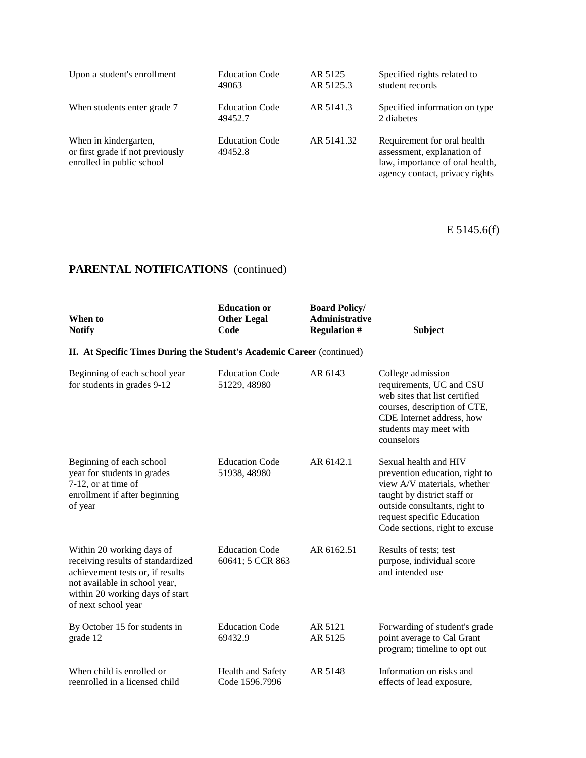| Upon a student's enrollment                                                            | <b>Education Code</b><br>49063   | AR 5125<br>AR 5125.3 | Specified rights related to<br>student records                                                                                 |
|----------------------------------------------------------------------------------------|----------------------------------|----------------------|--------------------------------------------------------------------------------------------------------------------------------|
| When students enter grade 7                                                            | <b>Education Code</b><br>49452.7 | AR 5141.3            | Specified information on type.<br>2 diabetes                                                                                   |
| When in kindergarten,<br>or first grade if not previously<br>enrolled in public school | <b>Education Code</b><br>49452.8 | AR 5141.32           | Requirement for oral health<br>assessment, explanation of<br>law, importance of oral health,<br>agency contact, privacy rights |

E 5145.6(f)

| When to<br><b>Notify</b>                                                                                                                                                                      | <b>Education or</b><br><b>Other Legal</b><br>Code | <b>Board Policy/</b><br><b>Administrative</b><br><b>Regulation #</b> | <b>Subject</b>                                                                                                                                                                                                         |
|-----------------------------------------------------------------------------------------------------------------------------------------------------------------------------------------------|---------------------------------------------------|----------------------------------------------------------------------|------------------------------------------------------------------------------------------------------------------------------------------------------------------------------------------------------------------------|
| II. At Specific Times During the Student's Academic Career (continued)                                                                                                                        |                                                   |                                                                      |                                                                                                                                                                                                                        |
| Beginning of each school year<br>for students in grades 9-12                                                                                                                                  | <b>Education Code</b><br>51229, 48980             | AR 6143                                                              | College admission<br>requirements, UC and CSU<br>web sites that list certified<br>courses, description of CTE,<br>CDE Internet address, how<br>students may meet with<br>counselors                                    |
| Beginning of each school<br>year for students in grades<br>7-12, or at time of<br>enrollment if after beginning<br>of year                                                                    | <b>Education Code</b><br>51938, 48980             | AR 6142.1                                                            | Sexual health and HIV<br>prevention education, right to<br>view A/V materials, whether<br>taught by district staff or<br>outside consultants, right to<br>request specific Education<br>Code sections, right to excuse |
| Within 20 working days of<br>receiving results of standardized<br>achievement tests or, if results<br>not available in school year,<br>within 20 working days of start<br>of next school year | <b>Education Code</b><br>60641; 5 CCR 863         | AR 6162.51                                                           | Results of tests; test<br>purpose, individual score<br>and intended use                                                                                                                                                |
| By October 15 for students in<br>grade 12                                                                                                                                                     | <b>Education Code</b><br>69432.9                  | AR 5121<br>AR 5125                                                   | Forwarding of student's grade<br>point average to Cal Grant<br>program; timeline to opt out                                                                                                                            |
| When child is enrolled or<br>reenrolled in a licensed child                                                                                                                                   | <b>Health and Safety</b><br>Code 1596.7996        | AR 5148                                                              | Information on risks and<br>effects of lead exposure,                                                                                                                                                                  |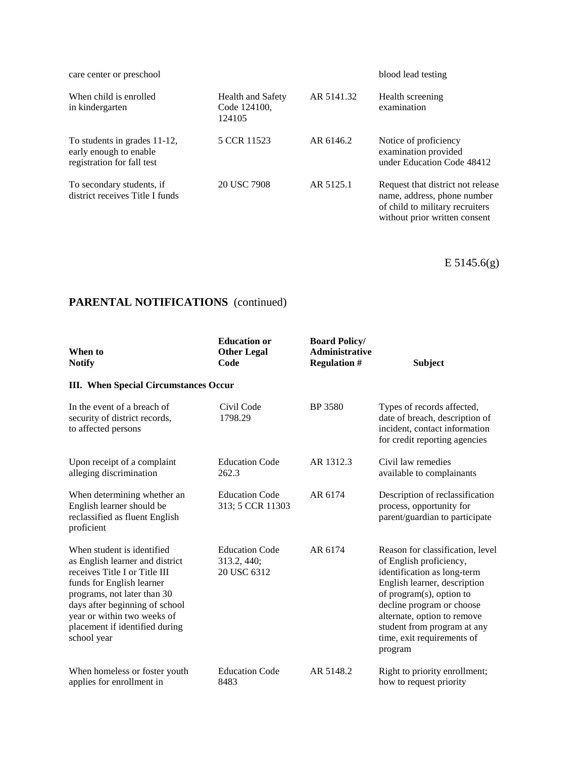| care center or preschool                                                             |                                                    |            | blood lead testing                                                                                                                   |
|--------------------------------------------------------------------------------------|----------------------------------------------------|------------|--------------------------------------------------------------------------------------------------------------------------------------|
| When child is enrolled<br>in kindergarten                                            | <b>Health and Safety</b><br>Code 124100.<br>124105 | AR 5141.32 | Health screening<br>examination                                                                                                      |
| To students in grades 11-12,<br>early enough to enable<br>registration for fall test | 5 CCR 11523                                        | AR 6146.2  | Notice of proficiency<br>examination provided<br>under Education Code 48412                                                          |
| To secondary students, if<br>district receives Title I funds                         | 20 USC 7908                                        | AR 5125.1  | Request that district not release<br>name, address, phone number<br>of child to military recruiters<br>without prior written consent |

E 5145.6(g)

| When to<br><b>Notify</b>                                                                                                                                                                                                                                                     | <b>Education or</b><br><b>Other Legal</b><br>Code   | <b>Board Policy/</b><br><b>Administrative</b><br><b>Regulation #</b> | <b>Subject</b>                                                                                                                                                                                                                                                                             |
|------------------------------------------------------------------------------------------------------------------------------------------------------------------------------------------------------------------------------------------------------------------------------|-----------------------------------------------------|----------------------------------------------------------------------|--------------------------------------------------------------------------------------------------------------------------------------------------------------------------------------------------------------------------------------------------------------------------------------------|
| <b>III.</b> When Special Circumstances Occur                                                                                                                                                                                                                                 |                                                     |                                                                      |                                                                                                                                                                                                                                                                                            |
| In the event of a breach of<br>security of district records,<br>to affected persons                                                                                                                                                                                          | Civil Code<br>1798.29                               | BP 3580                                                              | Types of records affected,<br>date of breach, description of<br>incident, contact information<br>for credit reporting agencies                                                                                                                                                             |
| Upon receipt of a complaint<br>alleging discrimination                                                                                                                                                                                                                       | <b>Education Code</b><br>262.3                      | AR 1312.3                                                            | Civil law remedies<br>available to complainants                                                                                                                                                                                                                                            |
| When determining whether an<br>English learner should be<br>reclassified as fluent English<br>proficient                                                                                                                                                                     | <b>Education Code</b><br>313; 5 CCR 11303           | AR 6174                                                              | Description of reclassification<br>process, opportunity for<br>parent/guardian to participate                                                                                                                                                                                              |
| When student is identified<br>as English learner and district<br>receives Title I or Title III<br>funds for English learner<br>programs, not later than 30<br>days after beginning of school<br>year or within two weeks of<br>placement if identified during<br>school year | <b>Education Code</b><br>313.2, 440;<br>20 USC 6312 | AR 6174                                                              | Reason for classification, level<br>of English proficiency,<br>identification as long-term<br>English learner, description<br>of program(s), option to<br>decline program or choose<br>alternate, option to remove<br>student from program at any<br>time, exit requirements of<br>program |
| When homeless or foster youth<br>applies for enrollment in                                                                                                                                                                                                                   | <b>Education Code</b><br>8483                       | AR 5148.2                                                            | Right to priority enrollment;<br>how to request priority                                                                                                                                                                                                                                   |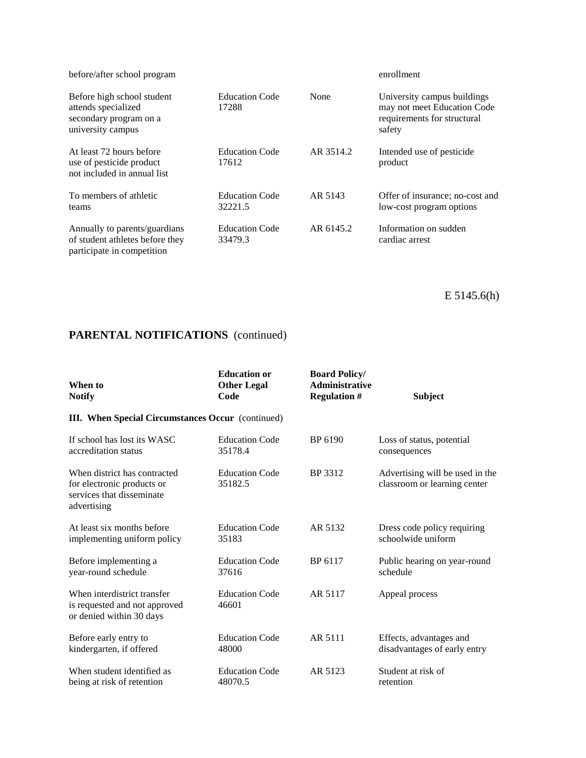| before/after school program                                                                      |                                  |           | enrollment                                                                                          |
|--------------------------------------------------------------------------------------------------|----------------------------------|-----------|-----------------------------------------------------------------------------------------------------|
| Before high school student<br>attends specialized<br>secondary program on a<br>university campus | <b>Education Code</b><br>17288   | None      | University campus buildings<br>may not meet Education Code<br>requirements for structural<br>safety |
| At least 72 hours before<br>use of pesticide product<br>not included in annual list              | <b>Education Code</b><br>17612   | AR 3514.2 | Intended use of pesticide.<br>product                                                               |
| To members of athletic<br>teams                                                                  | <b>Education Code</b><br>32221.5 | AR 5143   | Offer of insurance; no-cost and<br>low-cost program options                                         |
| Annually to parents/guardians<br>of student athletes before they<br>participate in competition   | <b>Education Code</b><br>33479.3 | AR 6145.2 | Information on sudden<br>cardiac arrest                                                             |

E 5145.6(h)

| When to<br><b>Notify</b>                                                                               | <b>Education or</b><br><b>Other Legal</b><br>Code | <b>Board Policy/</b><br><b>Administrative</b><br><b>Regulation #</b> | <b>Subject</b>                                                  |
|--------------------------------------------------------------------------------------------------------|---------------------------------------------------|----------------------------------------------------------------------|-----------------------------------------------------------------|
| <b>III.</b> When Special Circumstances Occur (continued)                                               |                                                   |                                                                      |                                                                 |
| If school has lost its WASC                                                                            | <b>Education Code</b>                             | BP 6190                                                              | Loss of status, potential                                       |
| accreditation status                                                                                   | 35178.4                                           |                                                                      | consequences                                                    |
| When district has contracted<br>for electronic products or<br>services that disseminate<br>advertising | <b>Education Code</b><br>35182.5                  | BP 3312                                                              | Advertising will be used in the<br>classroom or learning center |
| At least six months before                                                                             | <b>Education Code</b>                             | AR 5132                                                              | Dress code policy requiring                                     |
| implementing uniform policy                                                                            | 35183                                             |                                                                      | schoolwide uniform                                              |
| Before implementing a                                                                                  | <b>Education Code</b>                             | BP 6117                                                              | Public hearing on year-round                                    |
| year-round schedule                                                                                    | 37616                                             |                                                                      | schedule                                                        |
| When interdistrict transfer<br>is requested and not approved<br>or denied within 30 days               | <b>Education Code</b><br>46601                    | AR 5117                                                              | Appeal process                                                  |
| Before early entry to                                                                                  | <b>Education Code</b>                             | AR 5111                                                              | Effects, advantages and                                         |
| kindergarten, if offered                                                                               | 48000                                             |                                                                      | disadvantages of early entry                                    |
| When student identified as                                                                             | <b>Education Code</b>                             | AR 5123                                                              | Student at risk of                                              |
| being at risk of retention                                                                             | 48070.5                                           |                                                                      | retention                                                       |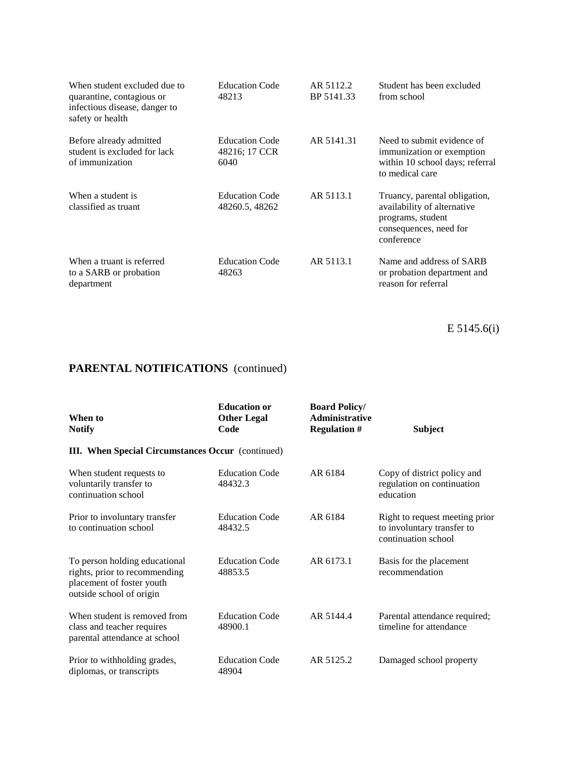| When student excluded due to<br>quarantine, contagious or<br>infectious disease, danger to<br>safety or health | <b>Education Code</b><br>48213                 | AR 5112.2<br>BP 5141.33 | Student has been excluded<br>from school                                                                                  |
|----------------------------------------------------------------------------------------------------------------|------------------------------------------------|-------------------------|---------------------------------------------------------------------------------------------------------------------------|
| Before already admitted<br>student is excluded for lack<br>of immunization                                     | <b>Education Code</b><br>48216; 17 CCR<br>6040 | AR 5141.31              | Need to submit evidence of<br>immunization or exemption<br>within 10 school days; referral<br>to medical care             |
| When a student is<br>classified as truant                                                                      | <b>Education Code</b><br>48260.5, 48262        | AR 5113.1               | Truancy, parental obligation,<br>availability of alternative<br>programs, student<br>consequences, need for<br>conference |
| When a truant is referred<br>to a SARB or probation<br>department                                              | <b>Education Code</b><br>48263                 | AR 5113.1               | Name and address of SARB<br>or probation department and<br>reason for referral                                            |

E 5145.6(i)

| When to<br><b>Notify</b>                                                                                                | <b>Education or</b><br><b>Other Legal</b><br>Code | <b>Board Policy/</b><br><b>Administrative</b><br><b>Regulation #</b> | <b>Subject</b>                                                                      |
|-------------------------------------------------------------------------------------------------------------------------|---------------------------------------------------|----------------------------------------------------------------------|-------------------------------------------------------------------------------------|
| <b>III.</b> When Special Circumstances Occur (continued)                                                                |                                                   |                                                                      |                                                                                     |
| When student requests to<br>voluntarily transfer to<br>continuation school                                              | <b>Education Code</b><br>48432.3                  | AR 6184                                                              | Copy of district policy and<br>regulation on continuation<br>education              |
| Prior to involuntary transfer<br>to continuation school                                                                 | <b>Education Code</b><br>48432.5                  | AR 6184                                                              | Right to request meeting prior<br>to involuntary transfer to<br>continuation school |
| To person holding educational<br>rights, prior to recommending<br>placement of foster youth<br>outside school of origin | <b>Education Code</b><br>48853.5                  | AR 6173.1                                                            | Basis for the placement<br>recommendation                                           |
| When student is removed from<br>class and teacher requires<br>parental attendance at school                             | <b>Education Code</b><br>48900.1                  | AR 5144.4                                                            | Parental attendance required;<br>timeline for attendance                            |
| Prior to withholding grades,<br>diplomas, or transcripts                                                                | <b>Education Code</b><br>48904                    | AR 5125.2                                                            | Damaged school property                                                             |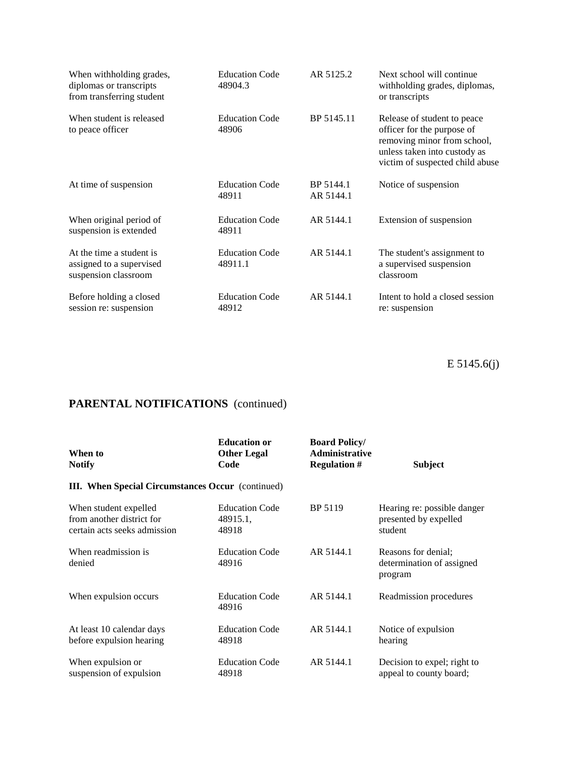| When withholding grades,<br>diplomas or transcripts<br>from transferring student | <b>Education Code</b><br>48904.3 | AR 5125.2              | Next school will continue<br>withholding grades, diplomas,<br>or transcripts                                                                                |
|----------------------------------------------------------------------------------|----------------------------------|------------------------|-------------------------------------------------------------------------------------------------------------------------------------------------------------|
| When student is released<br>to peace officer                                     | <b>Education Code</b><br>48906   | BP 5145.11             | Release of student to peace<br>officer for the purpose of<br>removing minor from school,<br>unless taken into custody as<br>victim of suspected child abuse |
| At time of suspension                                                            | <b>Education Code</b><br>48911   | BP 5144.1<br>AR 5144.1 | Notice of suspension                                                                                                                                        |
| When original period of<br>suspension is extended                                | <b>Education Code</b><br>48911   | AR 5144.1              | Extension of suspension                                                                                                                                     |
| At the time a student is<br>assigned to a supervised<br>suspension classroom     | <b>Education Code</b><br>48911.1 | AR 5144.1              | The student's assignment to<br>a supervised suspension<br>classroom                                                                                         |
| Before holding a closed<br>session re: suspension                                | <b>Education Code</b><br>48912   | AR 5144.1              | Intent to hold a closed session<br>re: suspension                                                                                                           |

E 5145.6(j)

| When to<br><b>Notify</b>                                                           | <b>Education or</b><br><b>Other Legal</b><br>Code | <b>Board Policy/</b><br><b>Administrative</b><br><b>Regulation #</b> | Subject                                                         |
|------------------------------------------------------------------------------------|---------------------------------------------------|----------------------------------------------------------------------|-----------------------------------------------------------------|
| <b>III.</b> When Special Circumstances Occur (continued)                           |                                                   |                                                                      |                                                                 |
| When student expelled<br>from another district for<br>certain acts seeks admission | <b>Education Code</b><br>48915.1,<br>48918        | BP 5119                                                              | Hearing re: possible danger<br>presented by expelled<br>student |
| When readmission is<br>denied                                                      | <b>Education Code</b><br>48916                    | AR 5144.1                                                            | Reasons for denial:<br>determination of assigned<br>program     |
| When expulsion occurs                                                              | <b>Education Code</b><br>48916                    | AR 5144.1                                                            | Readmission procedures                                          |
| At least 10 calendar days<br>before expulsion hearing                              | <b>Education Code</b><br>48918                    | AR 5144.1                                                            | Notice of expulsion<br>hearing                                  |
| When expulsion or<br>suspension of expulsion                                       | <b>Education Code</b><br>48918                    | AR 5144.1                                                            | Decision to expel; right to<br>appeal to county board;          |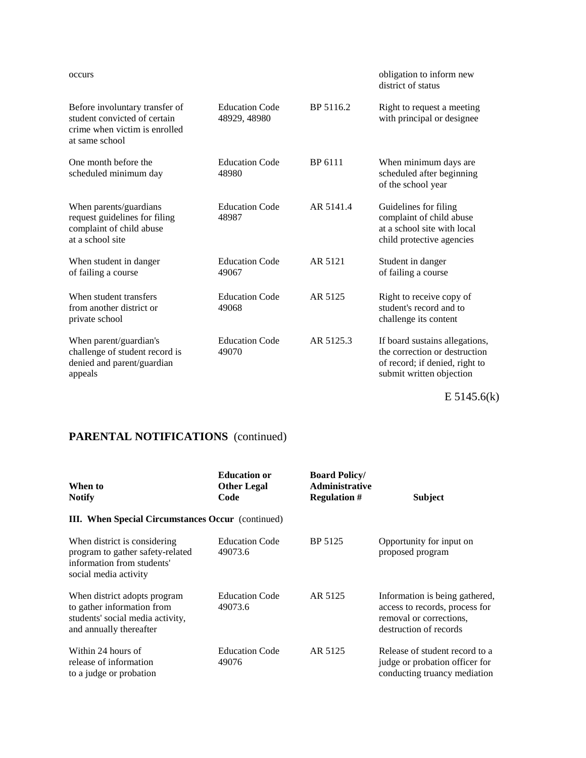#### occurs obligation to inform new district of status

| Before involuntary transfer of<br>student convicted of certain<br>crime when victim is enrolled<br>at same school | Education Code<br>48929, 48980 | BP 5116.2 | Right to request a meeting<br>with principal or designee                                                                      |
|-------------------------------------------------------------------------------------------------------------------|--------------------------------|-----------|-------------------------------------------------------------------------------------------------------------------------------|
| One month before the<br>scheduled minimum day                                                                     | <b>Education Code</b><br>48980 | BP 6111   | When minimum days are<br>scheduled after beginning<br>of the school year                                                      |
| When parents/guardians<br>request guidelines for filing<br>complaint of child abuse<br>at a school site           | <b>Education Code</b><br>48987 | AR 5141.4 | Guidelines for filing<br>complaint of child abuse<br>at a school site with local<br>child protective agencies                 |
| When student in danger<br>of failing a course                                                                     | <b>Education Code</b><br>49067 | AR 5121   | Student in danger<br>of failing a course                                                                                      |
| When student transfers<br>from another district or<br>private school                                              | <b>Education Code</b><br>49068 | AR 5125   | Right to receive copy of<br>student's record and to<br>challenge its content                                                  |
| When parent/guardian's<br>challenge of student record is<br>denied and parent/guardian<br>appeals                 | <b>Education Code</b><br>49070 | AR 5125.3 | If board sustains allegations,<br>the correction or destruction<br>of record; if denied, right to<br>submit written objection |

E 5145.6(k)

| When to<br><b>Notify</b>                                                                                                  | <b>Education or</b><br><b>Other Legal</b><br>Code | <b>Board Policy/</b><br><b>Administrative</b><br><b>Regulation #</b> | <b>Subject</b>                                                                                                        |
|---------------------------------------------------------------------------------------------------------------------------|---------------------------------------------------|----------------------------------------------------------------------|-----------------------------------------------------------------------------------------------------------------------|
| <b>III.</b> When Special Circumstances Occur (continued)                                                                  |                                                   |                                                                      |                                                                                                                       |
| When district is considering<br>program to gather safety-related<br>information from students'<br>social media activity   | <b>Education Code</b><br>49073.6                  | BP 5125                                                              | Opportunity for input on<br>proposed program                                                                          |
| When district adopts program<br>to gather information from<br>students' social media activity,<br>and annually thereafter | <b>Education Code</b><br>49073.6                  | AR 5125                                                              | Information is being gathered,<br>access to records, process for<br>removal or corrections.<br>destruction of records |
| Within 24 hours of<br>release of information<br>to a judge or probation                                                   | <b>Education Code</b><br>49076                    | AR 5125                                                              | Release of student record to a<br>judge or probation officer for<br>conducting truancy mediation                      |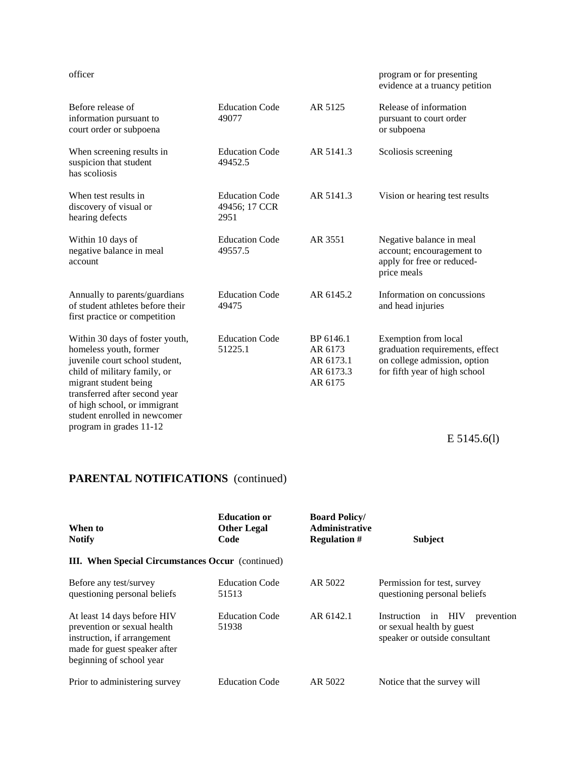#### officer program or for presenting program or for presenting evidence at a truancy petition

| Before release of<br>information pursuant to<br>court order or subpoena                                                                                                                                                                                                          | <b>Education Code</b><br>49077                 | AR 5125                                                   | Release of information<br>pursuant to court order<br>or subpoena                                                         |
|----------------------------------------------------------------------------------------------------------------------------------------------------------------------------------------------------------------------------------------------------------------------------------|------------------------------------------------|-----------------------------------------------------------|--------------------------------------------------------------------------------------------------------------------------|
| When screening results in<br>suspicion that student<br>has scoliosis                                                                                                                                                                                                             | <b>Education Code</b><br>49452.5               | AR 5141.3                                                 | Scoliosis screening                                                                                                      |
| When test results in<br>discovery of visual or<br>hearing defects                                                                                                                                                                                                                | <b>Education Code</b><br>49456; 17 CCR<br>2951 | AR 5141.3                                                 | Vision or hearing test results                                                                                           |
| Within 10 days of<br>negative balance in meal<br>account                                                                                                                                                                                                                         | <b>Education Code</b><br>49557.5               | AR 3551                                                   | Negative balance in meal<br>account; encouragement to<br>apply for free or reduced-<br>price meals                       |
| Annually to parents/guardians<br>of student athletes before their<br>first practice or competition                                                                                                                                                                               | <b>Education Code</b><br>49475                 | AR 6145.2                                                 | Information on concussions<br>and head injuries                                                                          |
| Within 30 days of foster youth,<br>homeless youth, former<br>juvenile court school student,<br>child of military family, or<br>migrant student being<br>transferred after second year<br>of high school, or immigrant<br>student enrolled in newcomer<br>program in grades 11-12 | <b>Education Code</b><br>51225.1               | BP 6146.1<br>AR 6173<br>AR 6173.1<br>AR 6173.3<br>AR 6175 | Exemption from local<br>graduation requirements, effect<br>on college admission, option<br>for fifth year of high school |
|                                                                                                                                                                                                                                                                                  |                                                |                                                           | $E$ 5145.6(1)                                                                                                            |

| When to<br><b>Notify</b>                                                                                                                              | <b>Education or</b><br><b>Other Legal</b><br>Code | <b>Board Policy/</b><br><b>Administrative</b><br><b>Regulation #</b> | <b>Subject</b>                                                                                           |
|-------------------------------------------------------------------------------------------------------------------------------------------------------|---------------------------------------------------|----------------------------------------------------------------------|----------------------------------------------------------------------------------------------------------|
| <b>III.</b> When Special Circumstances Occur (continued)                                                                                              |                                                   |                                                                      |                                                                                                          |
| Before any test/survey<br>questioning personal beliefs                                                                                                | <b>Education Code</b><br>51513                    | AR 5022                                                              | Permission for test, survey<br>questioning personal beliefs                                              |
| At least 14 days before HIV<br>prevention or sexual health<br>instruction, if arrangement<br>made for guest speaker after<br>beginning of school year | <b>Education Code</b><br>51938                    | AR 6142.1                                                            | HIV<br>Instruction<br>$\sin$<br>prevention<br>or sexual health by guest<br>speaker or outside consultant |
| Prior to administering survey                                                                                                                         | <b>Education Code</b>                             | AR 5022                                                              | Notice that the survey will                                                                              |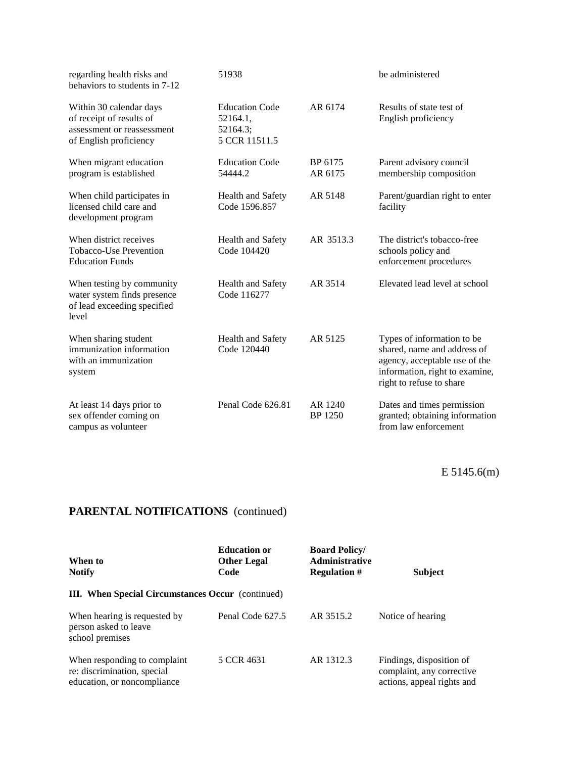| regarding health risks and<br>behaviors to students in 7-12                                                 | 51938                                                          |                           | be administered                                                                                                                                          |
|-------------------------------------------------------------------------------------------------------------|----------------------------------------------------------------|---------------------------|----------------------------------------------------------------------------------------------------------------------------------------------------------|
| Within 30 calendar days<br>of receipt of results of<br>assessment or reassessment<br>of English proficiency | <b>Education Code</b><br>52164.1,<br>52164.3;<br>5 CCR 11511.5 | AR 6174                   | Results of state test of<br>English proficiency                                                                                                          |
| When migrant education<br>program is established                                                            | <b>Education Code</b><br>54444.2                               | BP 6175<br>AR 6175        | Parent advisory council<br>membership composition                                                                                                        |
| When child participates in<br>licensed child care and<br>development program                                | Health and Safety<br>Code 1596.857                             | AR 5148                   | Parent/guardian right to enter<br>facility                                                                                                               |
| When district receives<br><b>Tobacco-Use Prevention</b><br><b>Education Funds</b>                           | <b>Health and Safety</b><br>Code 104420                        | AR 3513.3                 | The district's tobacco-free<br>schools policy and<br>enforcement procedures                                                                              |
| When testing by community<br>water system finds presence<br>of lead exceeding specified<br>level            | Health and Safety<br>Code 116277                               | AR 3514                   | Elevated lead level at school                                                                                                                            |
| When sharing student<br>immunization information<br>with an immunization<br>system                          | Health and Safety<br>Code 120440                               | AR 5125                   | Types of information to be<br>shared, name and address of<br>agency, acceptable use of the<br>information, right to examine,<br>right to refuse to share |
| At least 14 days prior to<br>sex offender coming on<br>campus as volunteer                                  | Penal Code 626.81                                              | AR 1240<br><b>BP</b> 1250 | Dates and times permission<br>granted; obtaining information<br>from law enforcement                                                                     |

E 5145.6(m)

| When to<br><b>Notify</b>                                                                   | <b>Education or</b><br><b>Other Legal</b><br>Code | <b>Board Policy/</b><br><b>Administrative</b><br><b>Regulation #</b> | <b>Subject</b>                                                                      |
|--------------------------------------------------------------------------------------------|---------------------------------------------------|----------------------------------------------------------------------|-------------------------------------------------------------------------------------|
| <b>III.</b> When Special Circumstances Occur (continued)                                   |                                                   |                                                                      |                                                                                     |
| When hearing is requested by<br>person asked to leave<br>school premises                   | Penal Code 627.5                                  | AR 3515.2                                                            | Notice of hearing                                                                   |
| When responding to complaint<br>re: discrimination, special<br>education, or noncompliance | 5 CCR 4631                                        | AR 1312.3                                                            | Findings, disposition of<br>complaint, any corrective<br>actions, appeal rights and |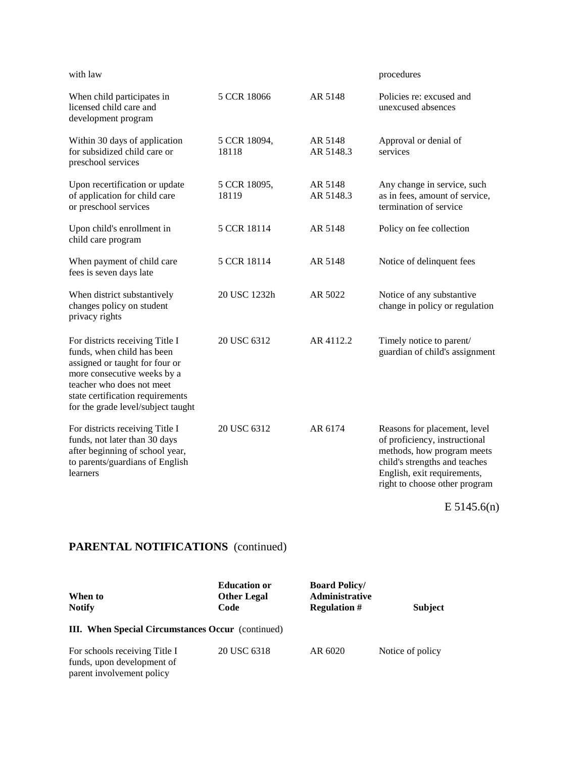| with law                                                                                                                                                                                                                              |                       |                      | procedures                                                                                                                                                                                   |
|---------------------------------------------------------------------------------------------------------------------------------------------------------------------------------------------------------------------------------------|-----------------------|----------------------|----------------------------------------------------------------------------------------------------------------------------------------------------------------------------------------------|
| When child participates in<br>licensed child care and<br>development program                                                                                                                                                          | 5 CCR 18066           | AR 5148              | Policies re: excused and<br>unexcused absences                                                                                                                                               |
| Within 30 days of application<br>for subsidized child care or<br>preschool services                                                                                                                                                   | 5 CCR 18094,<br>18118 | AR 5148<br>AR 5148.3 | Approval or denial of<br>services                                                                                                                                                            |
| Upon recertification or update<br>of application for child care<br>or preschool services                                                                                                                                              | 5 CCR 18095,<br>18119 | AR 5148<br>AR 5148.3 | Any change in service, such<br>as in fees, amount of service,<br>termination of service                                                                                                      |
| Upon child's enrollment in<br>child care program                                                                                                                                                                                      | 5 CCR 18114           | AR 5148              | Policy on fee collection                                                                                                                                                                     |
| When payment of child care<br>fees is seven days late                                                                                                                                                                                 | 5 CCR 18114           | AR 5148              | Notice of delinquent fees                                                                                                                                                                    |
| When district substantively<br>changes policy on student<br>privacy rights                                                                                                                                                            | 20 USC 1232h          | AR 5022              | Notice of any substantive<br>change in policy or regulation                                                                                                                                  |
| For districts receiving Title I<br>funds, when child has been<br>assigned or taught for four or<br>more consecutive weeks by a<br>teacher who does not meet<br>state certification requirements<br>for the grade level/subject taught | 20 USC 6312           | AR 4112.2            | Timely notice to parent/<br>guardian of child's assignment                                                                                                                                   |
| For districts receiving Title I<br>funds, not later than 30 days<br>after beginning of school year,<br>to parents/guardians of English<br>learners                                                                                    | 20 USC 6312           | AR 6174              | Reasons for placement, level<br>of proficiency, instructional<br>methods, how program meets<br>child's strengths and teaches<br>English, exit requirements,<br>right to choose other program |

E 5145.6(n)

# **PARENTAL NOTIFICATIONS** (continued)

parent involvement policy

| When to<br><b>Notify</b>                                    | <b>Education or</b><br><b>Other Legal</b><br>Code | <b>Board Policy/</b><br><b>Administrative</b><br><b>Regulation #</b> | <b>Subject</b>   |  |  |  |  |
|-------------------------------------------------------------|---------------------------------------------------|----------------------------------------------------------------------|------------------|--|--|--|--|
| <b>III.</b> When Special Circumstances Occur (continued)    |                                                   |                                                                      |                  |  |  |  |  |
| For schools receiving Title I<br>funds, upon development of | 20 USC 6318                                       | AR 6020                                                              | Notice of policy |  |  |  |  |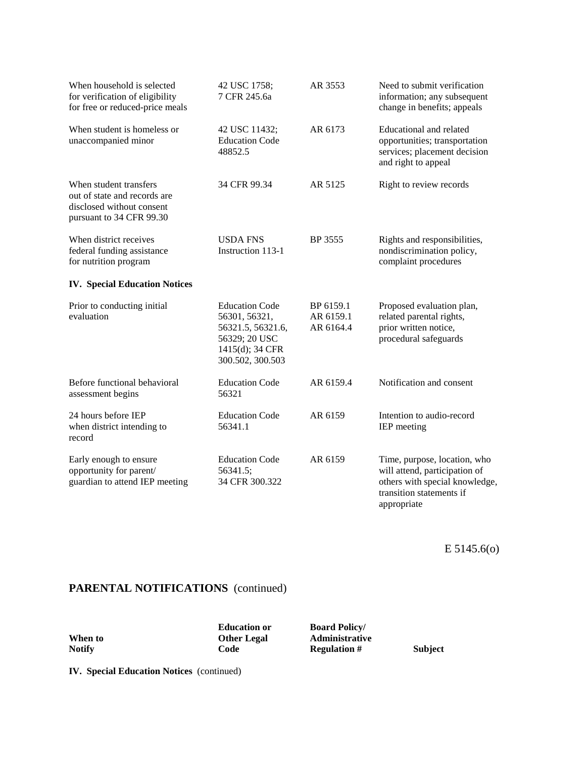| When household is selected<br>for verification of eligibility<br>for free or reduced-price meals                | 42 USC 1758;<br>7 CFR 245.6a                                                                                        | AR 3553                             | Need to submit verification<br>information; any subsequent<br>change in benefits; appeals                                                  |
|-----------------------------------------------------------------------------------------------------------------|---------------------------------------------------------------------------------------------------------------------|-------------------------------------|--------------------------------------------------------------------------------------------------------------------------------------------|
| When student is homeless or<br>unaccompanied minor                                                              | 42 USC 11432;<br><b>Education Code</b><br>48852.5                                                                   | AR 6173                             | Educational and related<br>opportunities; transportation<br>services; placement decision<br>and right to appeal                            |
| When student transfers<br>out of state and records are<br>disclosed without consent<br>pursuant to 34 CFR 99.30 | 34 CFR 99.34                                                                                                        | AR 5125                             | Right to review records                                                                                                                    |
| When district receives<br>federal funding assistance<br>for nutrition program                                   | <b>USDA FNS</b><br>Instruction 113-1                                                                                | BP 3555                             | Rights and responsibilities,<br>nondiscrimination policy,<br>complaint procedures                                                          |
| <b>IV.</b> Special Education Notices                                                                            |                                                                                                                     |                                     |                                                                                                                                            |
| Prior to conducting initial<br>evaluation                                                                       | <b>Education Code</b><br>56301, 56321,<br>56321.5, 56321.6,<br>56329; 20 USC<br>1415(d); 34 CFR<br>300.502, 300.503 | BP 6159.1<br>AR 6159.1<br>AR 6164.4 | Proposed evaluation plan,<br>related parental rights,<br>prior written notice,<br>procedural safeguards                                    |
| Before functional behavioral<br>assessment begins                                                               | <b>Education Code</b><br>56321                                                                                      | AR 6159.4                           | Notification and consent                                                                                                                   |
| 24 hours before IEP<br>when district intending to<br>record                                                     | <b>Education Code</b><br>56341.1                                                                                    | AR 6159                             | Intention to audio-record<br>IEP meeting                                                                                                   |
| Early enough to ensure<br>opportunity for parent/<br>guardian to attend IEP meeting                             | <b>Education Code</b><br>56341.5;<br>34 CFR 300.322                                                                 | AR 6159                             | Time, purpose, location, who<br>will attend, participation of<br>others with special knowledge,<br>transition statements if<br>appropriate |

E 5145.6(o)

## **PARENTAL NOTIFICATIONS** (continued)

|               | <b>Education or</b> | <b>Board Policy/</b>  |  |
|---------------|---------------------|-----------------------|--|
| When to       | <b>Other Legal</b>  | <b>Administrative</b> |  |
| <b>Notify</b> | Code                | <b>Regulation</b> #   |  |

**Education or Board Policy/**<br> **Other Legal Administrativ Notify Code Regulation # Subject**

**IV. Special Education Notices** (continued)